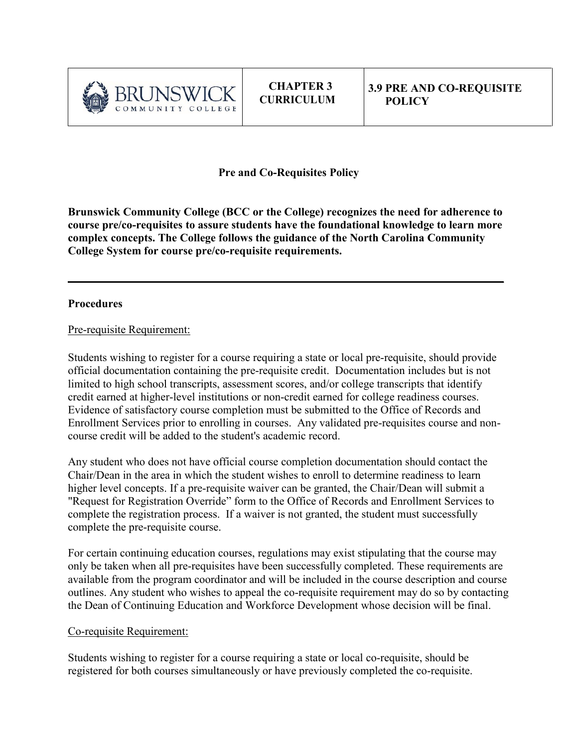

**CHAPTER 3 CURRICULUM**

**Pre and Co-Requisites Policy**

**Brunswick Community College (BCC or the College) recognizes the need for adherence to course pre/co-requisites to assure students have the foundational knowledge to learn more complex concepts. The College follows the guidance of the North Carolina Community College System for course pre/co-requisite requirements.** 

 $\mathcal{L}_\text{max}$  and  $\mathcal{L}_\text{max}$  and  $\mathcal{L}_\text{max}$  and  $\mathcal{L}_\text{max}$  and  $\mathcal{L}_\text{max}$  and  $\mathcal{L}_\text{max}$ 

## **Procedures**

## Pre-requisite Requirement:

Students wishing to register for a course requiring a state or local pre-requisite, should provide official documentation containing the pre-requisite credit. Documentation includes but is not limited to high school transcripts, assessment scores, and/or college transcripts that identify credit earned at higher-level institutions or non-credit earned for college readiness courses. Evidence of satisfactory course completion must be submitted to the Office of Records and Enrollment Services prior to enrolling in courses. Any validated pre-requisites course and noncourse credit will be added to the student's academic record.

Any student who does not have official course completion documentation should contact the Chair/Dean in the area in which the student wishes to enroll to determine readiness to learn higher level concepts. If a pre-requisite waiver can be granted, the Chair/Dean will submit a "Request for Registration Override" form to the Office of Records and Enrollment Services to complete the registration process. If a waiver is not granted, the student must successfully complete the pre-requisite course.

For certain continuing education courses, regulations may exist stipulating that the course may only be taken when all pre-requisites have been successfully completed. These requirements are available from the program coordinator and will be included in the course description and course outlines. Any student who wishes to appeal the co-requisite requirement may do so by contacting the Dean of Continuing Education and Workforce Development whose decision will be final.

## Co-requisite Requirement:

Students wishing to register for a course requiring a state or local co-requisite, should be registered for both courses simultaneously or have previously completed the co-requisite.